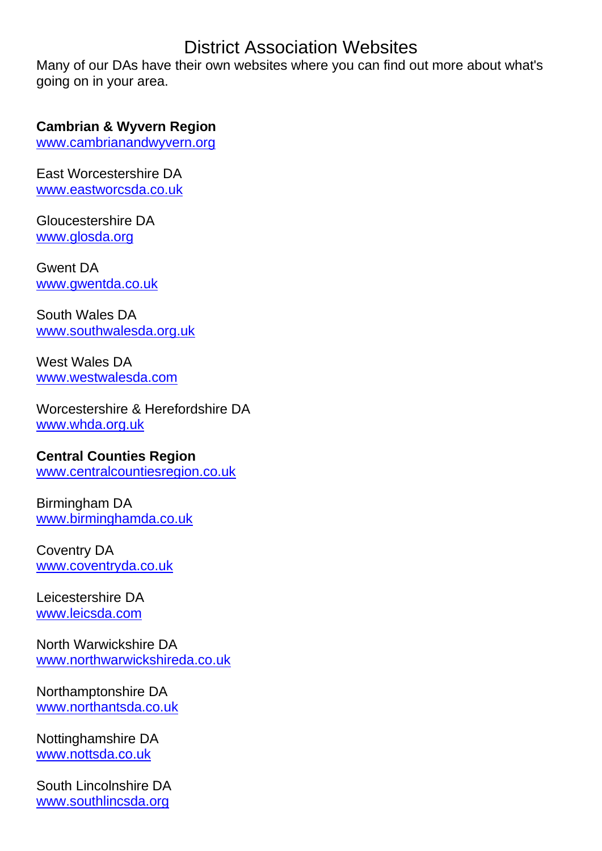# District Association Websites

Many of our DAs have their own websites where you can find out more about what's going on in your area.

#### **Cambrian & Wyvern Region**

[www.cambrianandwyvern.org](http://www.cambrianandwyvern.org/)

East Worcestershire DA [www.eastworcsda.co.uk](http://www.eastworcsda.co.uk/)

Gloucestershire DA [www.glosda.org](http://www.glosda.org/)

Gwent DA [www.gwentda.co.uk](http://www.gwentda.co.uk/)

South Wales DA [www.southwalesda.org.uk](http://www.southwalesda.org.uk/)

West Wales DA [www.westwalesda.com](http://www.westwalesda.com/)

Worcestershire & Herefordshire DA [www.whda.org.uk](http://www.whda.org.uk/)

# **Central Counties Region**

[www.centralcountiesregion.co.uk](http://www.centralcountiesregion.co.uk/)

Birmingham DA [www.birminghamda.co.uk](http://www.birminghamda.co.uk/)

Coventry DA [www.coventryda.co.uk](http://www.coventryda.co.uk/)

Leicestershire DA [www.leicsda.com](http://www.leicsda.com/)

North Warwickshire DA [www.northwarwickshireda.co.uk](http://www.northwarwickshireda.co.uk/)

Northamptonshire DA [www.northantsda.co.uk](http://www.northantsda.co.uk/)

Nottinghamshire DA [www.nottsda.co.uk](http://www.nottsda.co.uk/)

South Lincolnshire DA [www.southlincsda.org](http://www.southlincsda.org/)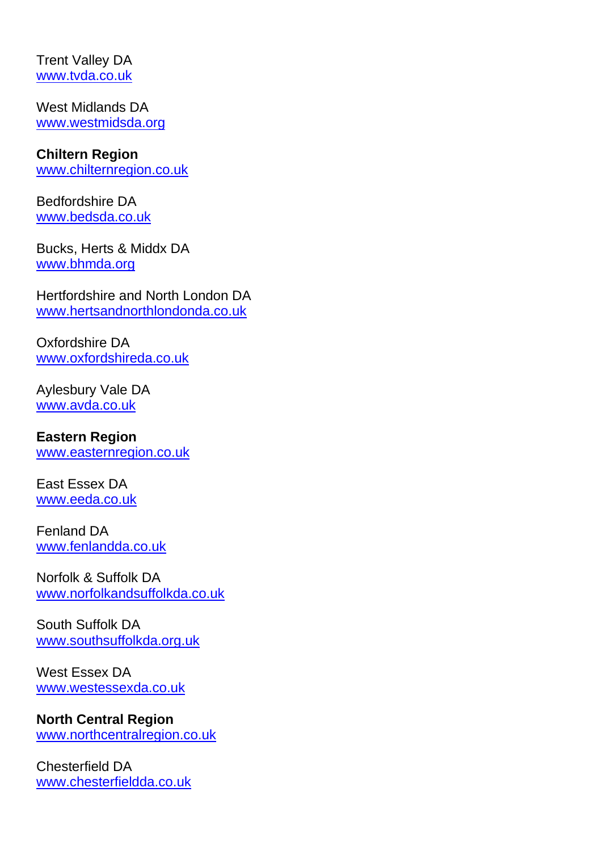Trent Valley DA [www.tvda.co.uk](http://www.tvda.co.uk/)

West Midlands DA [www.westmidsda.org](http://www.westmidsda.org/)

## **Chiltern Region**

[www.chilternregion.co.uk](http://www.chilternregion.co.uk/)

Bedfordshire DA [www.bedsda.co.uk](http://www.bedsda.co.uk/)

Bucks, Herts & Middx DA [www.bhmda.org](http://www.bhmda.org/)

Hertfordshire and North London DA [www.hertsandnorthlondonda.co.uk](http://www.hertsandnorthlondonda.co.uk/)

Oxfordshire DA [www.oxfordshireda.co.uk](http://www.oxfordshireda.co.uk/)

Aylesbury Vale DA [www.avda.co.uk](http://www.avda.co.uk/)

## **Eastern Region**

[www.easternregion.co.uk](http://www.easternregion.co.uk/)

East Essex DA [www.eeda.co.uk](http://www.eeda.co.uk/)

Fenland DA [www.fenlandda.co.uk](http://www.fenlandda.co.uk/)

Norfolk & Suffolk DA [www.norfolkandsuffolkda.co.uk](http://www.norfolkandsuffolkda.co.uk/)

South Suffolk DA [www.southsuffolkda.org.uk](http://www.southsuffolkda.org.uk/)

West Essex DA [www.westessexda.co.uk](http://www.westessexda.co.uk/)

### **North Central Region**

[www.northcentralregion.co.uk](http://www.northcentralregion.co.uk/)

Chesterfield DA [www.chesterfieldda.co.uk](http://www.chesterfieldda.co.uk/)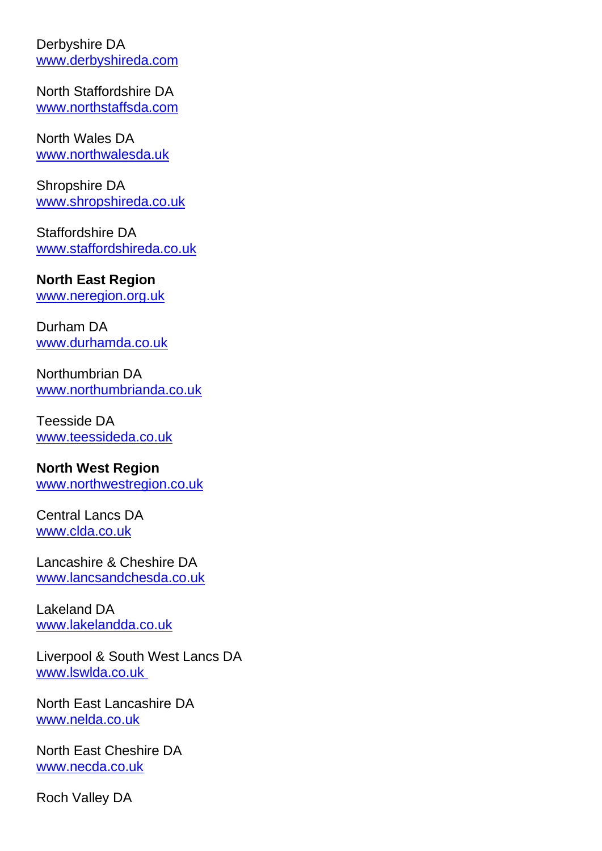Derbyshire DA [www.derbyshireda.com](http://www.derbyshireda.com/)

North Staffordshire DA [www.northstaffsda.com](http://www.northstaffsda.com/)

North Wales DA [www.northwalesda.uk](http://www.northwalesda.uk/)

Shropshire DA [www.shropshireda.co.uk](http://www.shropshireda.co.uk/)

Staffordshire DA [www.staffordshireda.co.uk](http://www.staffordshireda.co.uk/)

#### **North East Region**

[www.neregion.org.uk](http://www.neregion.org.uk/)

Durham DA [www.durhamda.co.uk](http://www.durhamda.co.uk/)

Northumbrian DA [www.northumbrianda.co.uk](http://www.northumbrianda.co.uk/)

Teesside DA [www.teessideda.co.uk](http://www.teessideda.co.uk/)

### **North West Region**

[www.northwestregion.co.uk](http://www.northwestregion.co.uk/)

Central Lancs DA [www.clda.co.uk](http://www.clda.co.uk/)

Lancashire & Cheshire DA [www.lancsandchesda.co.uk](http://www.lancsandchesda.co.uk/)

Lakeland DA [www.lakelandda.co.uk](http://www.lakelandda.co.uk/)

Liverpool & South West Lancs DA [www.lswlda.co.uk](http://www.lswlda.co.uk/)

North East Lancashire DA [www.nelda.co.uk](http://www.nelda.co.uk/)

North East Cheshire DA [www.necda.co.uk](http://www.necda.co.uk/)

Roch Valley DA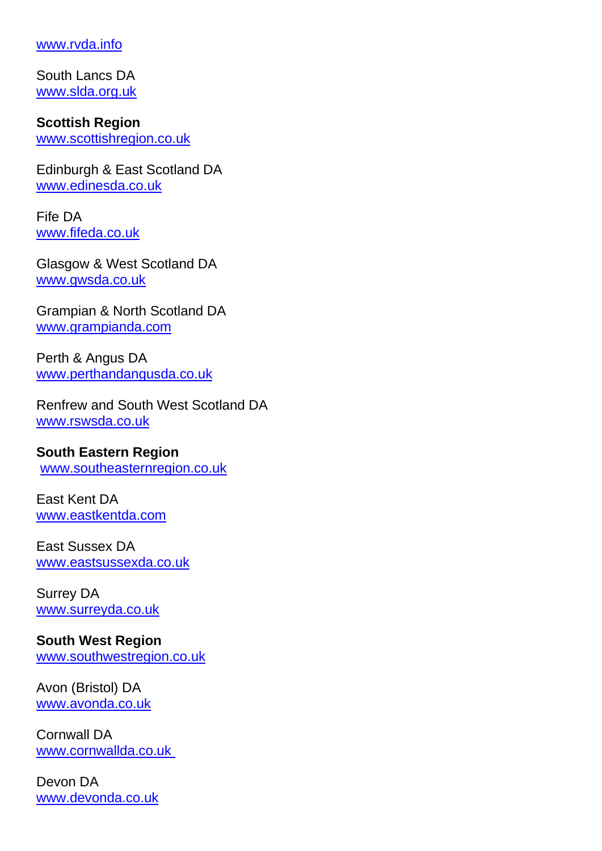#### [www.rvda.info](http://www.rvda.info/)

South Lancs DA [www.slda.org.uk](http://www.slda.org.uk/)

**Scottish Region** [www.scottishregion.co.uk](http://www.scottishregion.co.uk/)

Edinburgh & East Scotland DA [www.edinesda.co.uk](http://www.edinesda.co.uk/)

Fife DA [www.fifeda.co.uk](http://www.fifeda.co.uk/)

Glasgow & West Scotland DA [www.gwsda.co.uk](http://www.gwsda.co.uk/)

Grampian & North Scotland DA [www.grampianda.com](http://www.grampianda.com/)

Perth & Angus DA [www.perthandangusda.co.uk](http://www.perthandangusda.co.uk/)

Renfrew and South West Scotland DA [www.rswsda.co.uk](http://www.rswsda.co.uk/)

#### **South Eastern Region**

[www.southeasternregion.co.uk](http://www.southeasternregion.co.uk/)

East Kent DA [www.eastkentda.com](http://www.eastkentda.com/)

East Sussex DA [www.eastsussexda.co.uk](http://www.eastsussexda.co.uk/)

Surrey DA [www.surreyda.co.uk](http://www.surreyda.co.uk/)

**South West Region** [www.southwestregion.co.uk](http://www.southwestregion.co.uk/)

Avon (Bristol) DA [www.avonda.co.uk](http://www.avonda.co.uk/)

Cornwall DA [www.cornwallda.co.uk](http://www.cornwallda.co.uk/)

Devon DA [www.devonda.co.uk](http://www.devonda.co.uk/)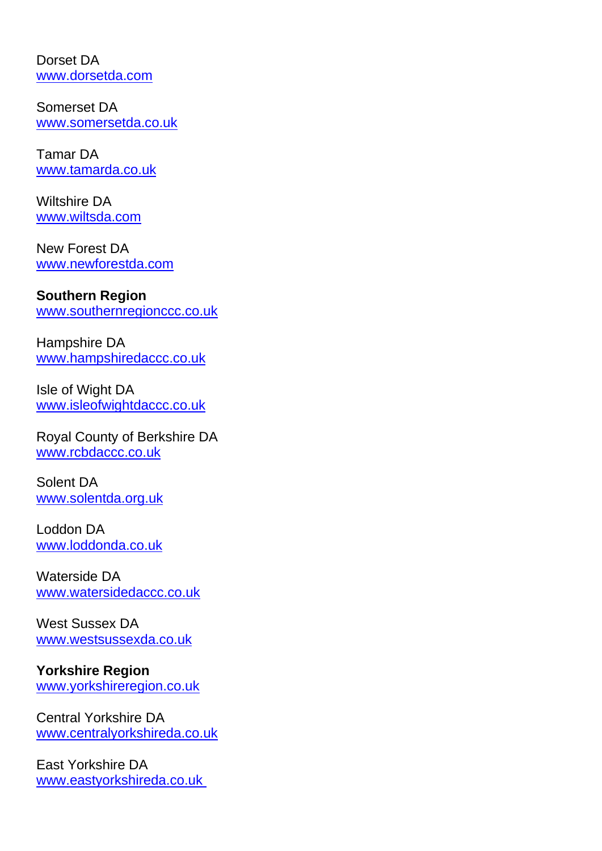Dorset DA [www.dorsetda.com](http://www.dorsetda.com/)

Somerset DA [www.somersetda.co.uk](http://www.somersetda.co.uk/)

Tamar DA [www.tamarda.co.uk](http://www.tamarda.co.uk/)

Wiltshire DA [www.wiltsda.com](http://www.wiltsda.com/)

New Forest DA [www.newforestda.com](http://www.newforestda.com/)

## **Southern Region**

[www.southernregionccc.co.uk](http://www.southernregionccc.co.uk/)

Hampshire DA [www.hampshiredaccc.co.uk](http://www.hampshiredaccc.co.uk/)

Isle of Wight DA [www.isleofwightdaccc.co.uk](http://www.isleofwightdaccc.co.uk/)

Royal County of Berkshire DA [www.rcbdaccc.co.uk](http://www.rcbdaccc.co.uk/)

Solent DA [www.solentda.org.uk](http://www.solentda.org.uk/)

Loddon DA [www.loddonda.co.uk](http://www.loddonda.co.uk/)

Waterside DA [www.watersidedaccc.co.uk](http://www.watersidedaccc.co.uk/)

West Sussex DA [www.westsussexda.co.uk](http://www.westsussexda.co.uk/)

# **Yorkshire Region**

[www.yorkshireregion.co.uk](http://www.yorkshireregion.co.uk/)

Central Yorkshire DA [www.centralyorkshireda.co.uk](http://www.centralyorkshireda.co.uk/)

East Yorkshire DA [www.eastyorkshireda.co.uk](http://www.eastyorkshireda.co.uk/)